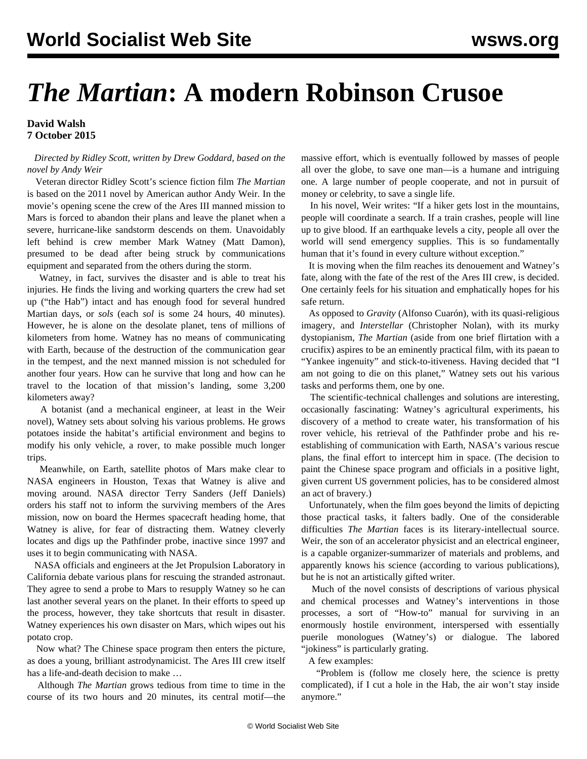## *The Martian***: A modern Robinson Crusoe**

## **David Walsh 7 October 2015**

 *Directed by Ridley Scott, written by Drew Goddard, based on the novel by Andy Weir*

 Veteran director Ridley Scott's science fiction film *The Martian* is based on the 2011 novel by American author Andy Weir. In the movie's opening scene the crew of the Ares III manned mission to Mars is forced to abandon their plans and leave the planet when a severe, hurricane-like sandstorm descends on them. Unavoidably left behind is crew member Mark Watney (Matt Damon), presumed to be dead after being struck by communications equipment and separated from the others during the storm.

 Watney, in fact, survives the disaster and is able to treat his injuries. He finds the living and working quarters the crew had set up ("the Hab") intact and has enough food for several hundred Martian days, or *sols* (each *sol* is some 24 hours, 40 minutes). However, he is alone on the desolate planet, tens of millions of kilometers from home. Watney has no means of communicating with Earth, because of the destruction of the communication gear in the tempest, and the next manned mission is not scheduled for another four years. How can he survive that long and how can he travel to the location of that mission's landing, some 3,200 kilometers away?

 A botanist (and a mechanical engineer, at least in the Weir novel), Watney sets about solving his various problems. He grows potatoes inside the habitat's artificial environment and begins to modify his only vehicle, a rover, to make possible much longer trips.

 Meanwhile, on Earth, satellite photos of Mars make clear to NASA engineers in Houston, Texas that Watney is alive and moving around. NASA director Terry Sanders (Jeff Daniels) orders his staff not to inform the surviving members of the Ares mission, now on board the Hermes spacecraft heading home, that Watney is alive, for fear of distracting them. Watney cleverly locates and digs up the Pathfinder probe, inactive since 1997 and uses it to begin communicating with NASA.

 NASA officials and engineers at the Jet Propulsion Laboratory in California debate various plans for rescuing the stranded astronaut. They agree to send a probe to Mars to resupply Watney so he can last another several years on the planet. In their efforts to speed up the process, however, they take shortcuts that result in disaster. Watney experiences his own disaster on Mars, which wipes out his potato crop.

 Now what? The Chinese space program then enters the picture, as does a young, brilliant astrodynamicist. The Ares III crew itself has a life-and-death decision to make …

 Although *The Martian* grows tedious from time to time in the course of its two hours and 20 minutes, its central motif—the

massive effort, which is eventually followed by masses of people all over the globe, to save one man—is a humane and intriguing one. A large number of people cooperate, and not in pursuit of money or celebrity, to save a single life.

 In his novel, Weir writes: "If a hiker gets lost in the mountains, people will coordinate a search. If a train crashes, people will line up to give blood. If an earthquake levels a city, people all over the world will send emergency supplies. This is so fundamentally human that it's found in every culture without exception."

 It is moving when the film reaches its denouement and Watney's fate, along with the fate of the rest of the Ares III crew, is decided. One certainly feels for his situation and emphatically hopes for his safe return.

 As opposed to *Gravity* (Alfonso Cuarón), with its quasi-religious imagery, and *Interstellar* (Christopher Nolan), with its murky dystopianism, *The Martian* (aside from one brief flirtation with a crucifix) aspires to be an eminently practical film, with its paean to "Yankee ingenuity" and stick-to-itiveness. Having decided that "I am not going to die on this planet," Watney sets out his various tasks and performs them, one by one.

 The scientific-technical challenges and solutions are interesting, occasionally fascinating: Watney's agricultural experiments, his discovery of a method to create water, his transformation of his rover vehicle, his retrieval of the Pathfinder probe and his reestablishing of communication with Earth, NASA's various rescue plans, the final effort to intercept him in space. (The decision to paint the Chinese space program and officials in a positive light, given current US government policies, has to be considered almost an act of bravery.)

 Unfortunately, when the film goes beyond the limits of depicting those practical tasks, it falters badly. One of the considerable difficulties *The Martian* faces is its literary-intellectual source. Weir, the son of an accelerator physicist and an electrical engineer, is a capable organizer-summarizer of materials and problems, and apparently knows his science (according to various publications), but he is not an artistically gifted writer.

 Much of the novel consists of descriptions of various physical and chemical processes and Watney's interventions in those processes, a sort of "How-to" manual for surviving in an enormously hostile environment, interspersed with essentially puerile monologues (Watney's) or dialogue. The labored "jokiness" is particularly grating.

A few examples:

 "Problem is (follow me closely here, the science is pretty complicated), if I cut a hole in the Hab, the air won't stay inside anymore."